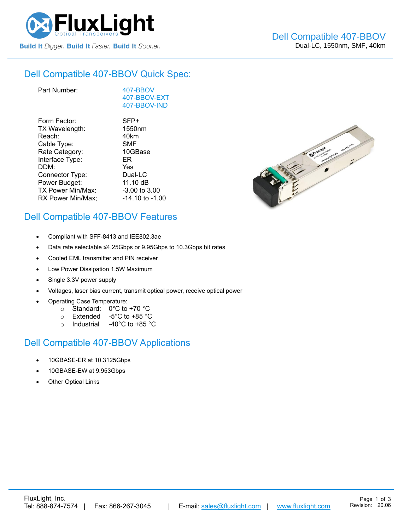

#### Dell Compatible [407-BBOV](https://www.fluxlight.com/407-BBOV/) Quick Spec:

| Part Number:      | 407-BBOV<br>407-BBOV-EXT<br>407-BBOV-IND |
|-------------------|------------------------------------------|
| Form Factor:      | SFP+                                     |
| TX Wavelength:    | 1550nm                                   |
| Reach:            | 40km                                     |
| Cable Type:       | SMF                                      |
| Rate Category:    | 10GBase                                  |
| Interface Type:   | ER                                       |
| DDM:              | Yes                                      |
| Connector Type:   | Dual-LC                                  |
| Power Budget:     | 11.10 $dB$                               |
| TX Power Min/Max: | -3.00 to 3.00                            |
| RX Power Min/Max; | $-14.10$ to $-1.00$                      |



## Dell Compatible [407-BBOV](https://www.fluxlight.com/407-BBOV/) Features

- Compliant with SFF-8413 and IEE802.3ae
- Data rate selectable ≤4.25Gbps or 9.95Gbps to 10.3Gbps bit rates
- Cooled EML transmitter and PIN receiver
- Low Power Dissipation 1.5W Maximum
- Single 3.3V power supply
- Voltages, laser bias current, transmit optical power, receive optical power
- Operating Case Temperature:
	- o Standard: 0°C to +70 °C
	- o Extended -5°C to +85 °C
	- o Industrial -40°C to +85 °C

### Dell Compatible [407-BBOV](https://www.fluxlight.com/407-BBOV/) Applications

- 10GBASE-ER at 10.3125Gbps
- 10GBASE-EW at 9.953Gbps
- **Other Optical Links**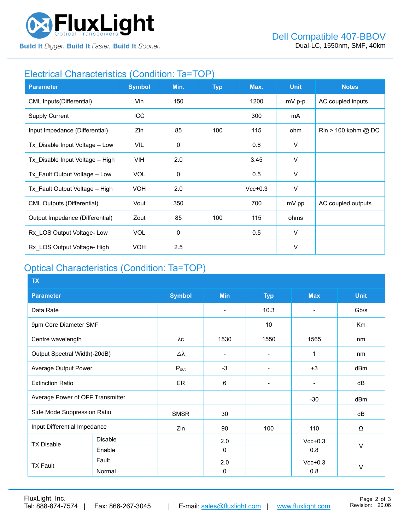

**Build It Bigger. Build It Faster. Build It Sooner.** 

### Electrical Characteristics (Condition: Ta=TOP)

| <b>Parameter</b>                  | <b>Symbol</b> | Min.        | <b>Typ</b> | Max.      | <b>Unit</b> | <b>Notes</b>                          |
|-----------------------------------|---------------|-------------|------------|-----------|-------------|---------------------------------------|
| <b>CML Inputs(Differential)</b>   | Vin           | 150         |            | 1200      | mV p-p      | AC coupled inputs                     |
| <b>Supply Current</b>             | ICC           |             |            | 300       | mA          |                                       |
| Input Impedance (Differential)    | Zin           | 85          | 100        | 115       | ohm         | $\text{Rin} > 100 \text{ kohm } @$ DC |
| Tx_Disable Input Voltage - Low    | VIL           | $\mathbf 0$ |            | 0.8       | V           |                                       |
| Tx Disable Input Voltage - High   | VIH.          | 2.0         |            | 3.45      | V           |                                       |
| Tx Fault Output Voltage - Low     | <b>VOL</b>    | $\mathbf 0$ |            | 0.5       | $\vee$      |                                       |
| Tx Fault Output Voltage - High    | <b>VOH</b>    | 2.0         |            | $Vcc+0.3$ | V           |                                       |
| <b>CML Outputs (Differential)</b> | Vout          | 350         |            | 700       | mV pp       | AC coupled outputs                    |
| Output Impedance (Differential)   | Zout          | 85          | 100        | 115       | ohms        |                                       |
| Rx LOS Output Voltage-Low         | <b>VOL</b>    | 0           |            | 0.5       | $\vee$      |                                       |
| Rx LOS Output Voltage- High       | <b>VOH</b>    | 2.5         |            |           | $\vee$      |                                       |

# Optical Characteristics (Condition: Ta=TOP)

| <b>TX</b>                        |                |                  |                          |                              |                          |                |
|----------------------------------|----------------|------------------|--------------------------|------------------------------|--------------------------|----------------|
| <b>Parameter</b>                 |                | <b>Symbol</b>    | <b>Min</b>               | <b>Typ</b>                   | <b>Max</b>               | <b>Unit</b>    |
| Data Rate                        |                |                  | $\overline{\phantom{0}}$ | 10.3                         | $\overline{\phantom{a}}$ | Gb/s           |
| 9µm Core Diameter SMF            |                |                  |                          | 10                           |                          | K <sub>m</sub> |
| Centre wavelength                |                | λc               | 1530                     | 1550                         | 1565                     | nm             |
| Output Spectral Width(-20dB)     |                | Δλ               |                          |                              | 1                        | nm             |
| Average Output Power             |                | $P_{\text{out}}$ | $-3$                     |                              | $+3$                     | dBm            |
| <b>Extinction Ratio</b>          |                | <b>ER</b>        | 6                        | $\qquad \qquad \blacksquare$ | $\blacksquare$           | dB             |
| Average Power of OFF Transmitter |                |                  |                          |                              | $-30$                    | dBm            |
| Side Mode Suppression Ratio      |                | <b>SMSR</b>      | 30                       |                              |                          | dB             |
| Input Differential Impedance     |                | Zin              | 90                       | 100                          | 110                      | Ω              |
| <b>TX Disable</b>                | <b>Disable</b> |                  | 2.0                      |                              | $Vcc+0.3$                |                |
|                                  | Enable         |                  | $\Omega$                 |                              | 0.8                      | V              |
| <b>TX Fault</b>                  | Fault          |                  | 2.0                      |                              | $Vcc+0.3$                |                |
|                                  | Normal         |                  | 0                        |                              | 0.8                      | $\vee$         |